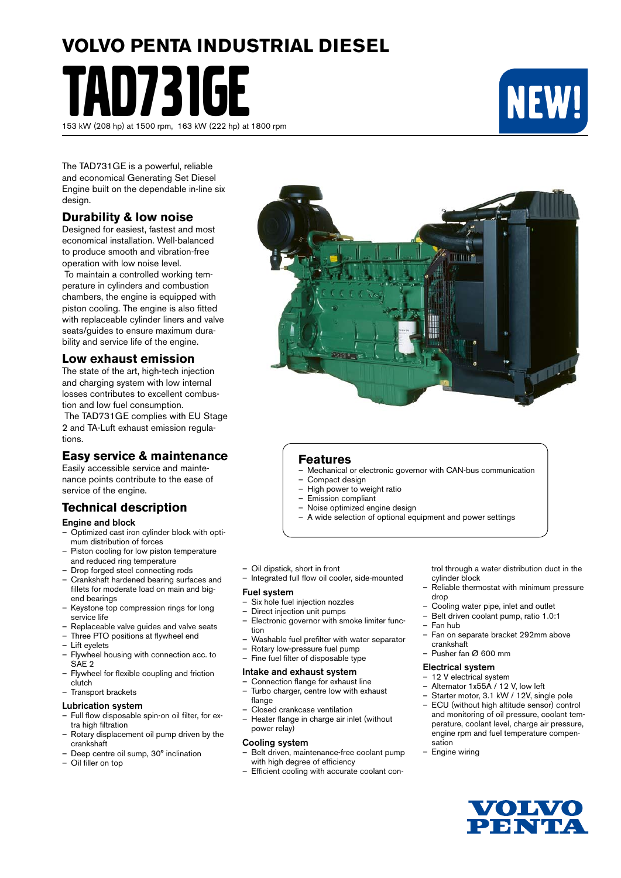# **VOLVO PENTA INDUSTRIAL DIESEL** TAD731GE



The TAD731GE is a powerful, reliable and economical Generating Set Diesel Engine built on the dependable in-line six design.

153 kW (208 hp) at 1500 rpm, 163 kW (222 hp) at 1800 rpm

#### **Durability & low noise**

Designed for easiest, fastest and most economical installation. Well-balanced to produce smooth and vibration-free operation with low noise level.

 To maintain a controlled working temperature in cylinders and combustion chambers, the engine is equipped with piston cooling. The engine is also fitted with replaceable cylinder liners and valve seats/guides to ensure maximum durability and service life of the engine.

#### **Low exhaust emission**

The state of the art, high-tech injection and charging system with low internal losses contributes to excellent combustion and low fuel consumption.

 The TAD731GE complies with EU Stage 2 and TA-Luft exhaust emission regulations.

#### **Easy service & maintenance**

Easily accessible service and maintenance points contribute to the ease of service of the engine.

#### **Technical description**

#### Engine and block

- Optimized cast iron cylinder block with optimum distribution of forces
- Piston cooling for low piston temperature and reduced ring temperature
- Drop forged steel connecting rods
- Crankshaft hardened bearing surfaces and fillets for moderate load on main and bigend bearings
- Keystone top compression rings for long service life
- Replaceable valve guides and valve seats
- Three PTO positions at flywheel end
- Lift eyelets
- Flywheel housing with connection acc. to SAE 2
- Flywheel for flexible coupling and friction clutch
- Transport brackets

#### Lubrication system

- Full flow disposable spin-on oil filter, for extra high filtration
- Rotary displacement oil pump driven by the crankshaft
- Deep centre oil sump, 30° inclination
- Oil filler on top

#### **Features**

- Mechanical or electronic governor with CAN-bus communication
- Compact design
- High power to weight ratio
- Emission compliant
- Noise optimized engine design
- A wide selection of optional equipment and power settings
- Oil dipstick, short in front
- Integrated full flow oil cooler, side-mounted

#### Fuel system

- Six hole fuel injection nozzles
- Direct injection unit pumps
- Electronic governor with smoke limiter function
- Washable fuel prefilter with water separator
- Rotary low-pressure fuel pump<br>– Fine fuel filter of disposable type
	- Fine fuel filter of disposable type

#### Intake and exhaust system

- Connection flange for exhaust line – Turbo charger, centre low with exhaust
- flange – Closed crankcase ventilation
- Heater flange in charge air inlet (without power relay)

#### Cooling system

- Belt driven, maintenance-free coolant pump with high degree of efficiency
- Efficient cooling with accurate coolant con-

trol through a water distribution duct in the cylinder block

- Reliable thermostat with minimum pressure drop
- Cooling water pipe, inlet and outlet
- Belt driven coolant pump, ratio 1.0:1
- Fan hub
- Fan on separate bracket 292mm above crankshaft
- Pusher fan Ø 600 mm

#### Electrical system

- 12 V electrical system
- Alternator 1x55A / 12 V, low left
- Starter motor, 3.1 kW / 12V, single pole – ECU (without high altitude sensor) control and monitoring of oil pressure, coolant tem-
- perature, coolant level, charge air pressure, engine rpm and fuel temperature compensation
- Engine wiring